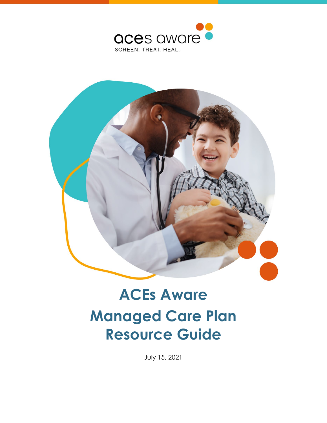



# **ACEs Aware Managed Care Plan Resource Guide**

July 15, 2021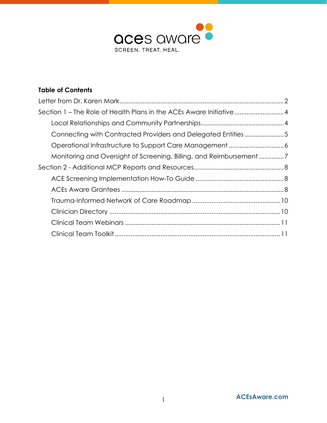

#### **Table of Contents**

| Section 1 – The Role of Health Plans in the ACEs Aware Initiative4 |  |
|--------------------------------------------------------------------|--|
|                                                                    |  |
| Connecting with Contracted Providers and Delegated Entities 5      |  |
|                                                                    |  |
| Monitoring and Oversight of Screening, Billing, and Reimbursement7 |  |
|                                                                    |  |
|                                                                    |  |
|                                                                    |  |
|                                                                    |  |
|                                                                    |  |
|                                                                    |  |
|                                                                    |  |
|                                                                    |  |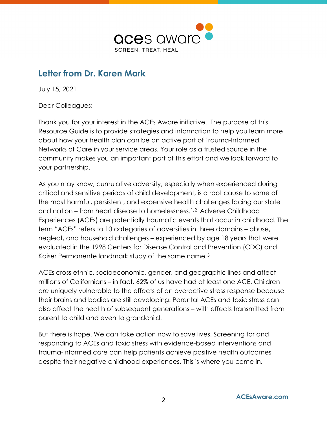

# <span id="page-2-0"></span>**Letter from Dr. Karen Mark**

July 15, 2021

Dear Colleagues:

Thank you for your interest in the ACEs Aware initiative. The purpose of this Resource Guide is to provide strategies and information to help you learn more about how your health plan can be an active part of Trauma-Informed Networks of Care in your service areas. Your role as a trusted source in the community makes you an important part of this effort and we look forward to your partnership.

As you may know, cumulative adversity, especially when experienced during critical and sensitive periods of child development, is a root cause to some of the most harmful, persistent, and expensive health challenges facing our state and nation – from heart disease to homelessness.[1,](#page-11-2)[2](#page-11-3) Adverse Childhood Experiences (ACEs) are potentially traumatic events that occur in childhood. The term "ACEs" refers to 10 categories of adversities in three domains – abuse, neglect, and household challenges – experienced by age 18 years that were evaluated in the 1998 Centers for Disease Control and Prevention (CDC) and Kaiser Permanente landmark study of the same name.[3](#page-11-4)

ACEs cross ethnic, socioeconomic, gender, and geographic lines and affect millions of Californians – in fact, 62% of us have had at least one ACE. Children are uniquely vulnerable to the effects of an overactive stress response because their brains and bodies are still developing. Parental ACEs and toxic stress can also affect the health of subsequent generations – with effects transmitted from parent to child and even to grandchild.

But there is hope. We can take action now to save lives. Screening for and responding to ACEs and toxic stress with evidence-based interventions and trauma-informed care can help patients achieve positive health outcomes despite their negative childhood experiences. This is where you come in.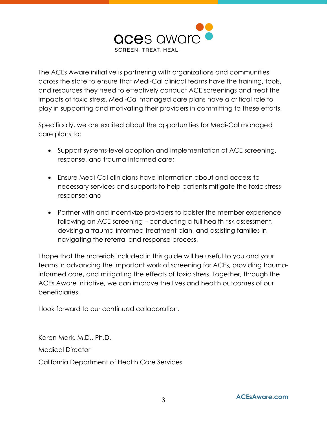

The ACEs Aware initiative is partnering with organizations and communities across the state to ensure that Medi-Cal clinical teams have the training, tools, and resources they need to effectively conduct ACE screenings and treat the impacts of toxic stress. Medi-Cal managed care plans have a critical role to play in supporting and motivating their providers in committing to these efforts.

Specifically, we are excited about the opportunities for Medi-Cal managed care plans to:

- Support systems-level adoption and implementation of ACE screening, response, and trauma-informed care;
- Ensure Medi-Cal clinicians have information about and access to necessary services and supports to help patients mitigate the toxic stress response; and
- Partner with and incentivize providers to bolster the member experience following an ACE screening – conducting a full health risk assessment, devising a trauma-informed treatment plan, and assisting families in navigating the referral and response process.

I hope that the materials included in this guide will be useful to you and your teams in advancing the important work of screening for ACEs, providing traumainformed care, and mitigating the effects of toxic stress. Together, through the ACEs Aware initiative, we can improve the lives and health outcomes of our beneficiaries.

I look forward to our continued collaboration.

Karen Mark, M.D., Ph.D. Medical Director California Department of Health Care Services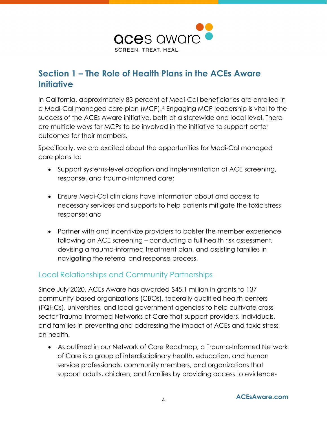

# <span id="page-4-0"></span>**Section 1 – The Role of Health Plans in the ACEs Aware Initiative**

In California, approximately 83 percent of Medi-Cal beneficiaries are enrolled in a Medi-Cal managed care plan (MCP).[4](#page-11-5) Engaging MCP leadership is vital to the success of the ACEs Aware initiative, both at a statewide and local level. There are multiple ways for MCPs to be involved in the initiative to support better outcomes for their members.

Specifically, we are excited about the opportunities for Medi-Cal managed care plans to:

- Support systems-level adoption and implementation of ACE screening, response, and trauma-informed care;
- Ensure Medi-Cal clinicians have information about and access to necessary services and supports to help patients mitigate the toxic stress response; and
- Partner with and incentivize providers to bolster the member experience following an ACE screening – conducting a full health risk assessment, devising a trauma-informed treatment plan, and assisting families in navigating the referral and response process.

### <span id="page-4-1"></span>Local Relationships and Community Partnerships

Since July 2020, ACEs Aware has awarded \$45.1 million in grants to 137 community-based organizations (CBOs), federally qualified health centers (FQHCs), universities, and local government agencies to help cultivate crosssector Trauma-Informed Networks of Care that support providers, individuals, and families in preventing and addressing the impact of ACEs and toxic stress on health.

• As outlined in our Network of Care Roadmap, a Trauma-Informed Network of Care is a group of interdisciplinary health, education, and human service professionals, community members, and organizations that support adults, children, and families by providing access to evidence-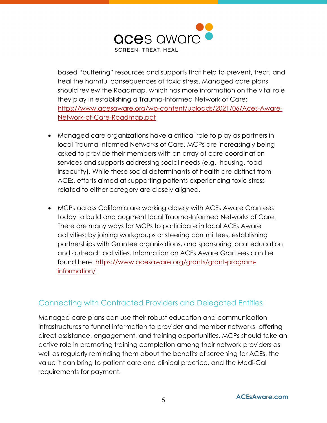

based "buffering" resources and supports that help to prevent, treat, and heal the harmful consequences of toxic stress. Managed care plans should review the Roadmap, which has more information on the vital role they play in establishing a Trauma-Informed Network of Care: [https://www.acesaware.org/wp-content/uploads/2021/06/Aces-Aware-](https://www.acesaware.org/wp-content/uploads/2021/06/Aces-Aware-Network-of-Care-Roadmap.pdf)[Network-of-Care-Roadmap.pdf](https://www.acesaware.org/wp-content/uploads/2021/06/Aces-Aware-Network-of-Care-Roadmap.pdf)

- Managed care organizations have a critical role to play as partners in local Trauma-Informed Networks of Care. MCPs are increasingly being asked to provide their members with an array of care coordination services and supports addressing social needs (e.g., housing, food insecurity). While these social determinants of health are distinct from ACEs, efforts aimed at supporting patients experiencing toxic-stress related to either category are closely aligned.
- MCPs across California are working closely with ACEs Aware Grantees today to build and augment local Trauma-Informed Networks of Care. There are many ways for MCPs to participate in local ACEs Aware activities: by joining workgroups or steering committees, establishing partnerships with Grantee organizations, and sponsoring local education and outreach activities. Information on ACEs Aware Grantees can be found here: [https://www.acesaware.org/grants/grant-program](https://www.acesaware.org/grants/grant-program-information/)[information/](https://www.acesaware.org/grants/grant-program-information/)

### <span id="page-5-0"></span>Connecting with Contracted Providers and Delegated Entities

Managed care plans can use their robust education and communication infrastructures to funnel information to provider and member networks, offering direct assistance, engagement, and training opportunities. MCPs should take an active role in promoting training completion among their network providers as well as regularly reminding them about the benefits of screening for ACEs, the value it can bring to patient care and clinical practice, and the Medi-Cal requirements for payment.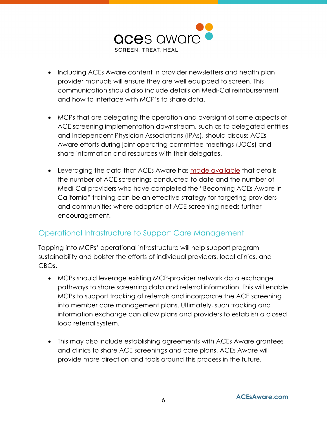

- Including ACEs Aware content in provider newsletters and health plan provider manuals will ensure they are well equipped to screen. This communication should also include details on Medi-Cal reimbursement and how to interface with MCP's to share data.
- MCPs that are delegating the operation and oversight of some aspects of ACE screening implementation downstream, such as to delegated entities and Independent Physician Associations (IPAs), should discuss ACEs Aware efforts during joint operating committee meetings (JOCs) and share information and resources with their delegates.
- Leveraging the data that ACEs Aware has [made available](https://www.acesaware.org/blog/new-data-reports-on-aces-aware-training-and-screening/) that details the number of ACE screenings conducted to date and the number of Medi-Cal providers who have completed the "Becoming ACEs Aware in California" training can be an effective strategy for targeting providers and communities where adoption of ACE screening needs further encouragement.

# <span id="page-6-0"></span>Operational Infrastructure to Support Care Management

Tapping into MCPs' operational infrastructure will help support program sustainability and bolster the efforts of individual providers, local clinics, and CBOs.

- MCPs should leverage existing MCP-provider network data exchange pathways to share screening data and referral information. This will enable MCPs to support tracking of referrals and incorporate the ACE screening into member care management plans. Ultimately, such tracking and information exchange can allow plans and providers to establish a closed loop referral system.
- This may also include establishing agreements with ACEs Aware grantees and clinics to share ACE screenings and care plans. ACEs Aware will provide more direction and tools around this process in the future.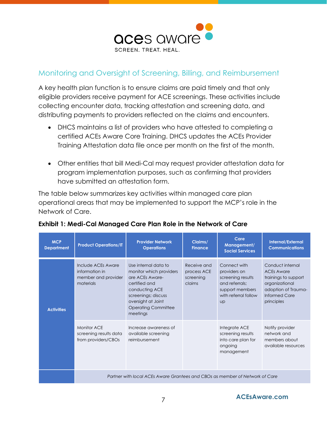

## <span id="page-7-0"></span>Monitoring and Oversight of Screening, Billing, and Reimbursement

A key health plan function is to ensure claims are paid timely and that only eligible providers receive payment for ACE screenings. These activities include collecting encounter data, tracking attestation and screening data, and distributing payments to providers reflected on the claims and encounters.

- DHCS maintains a list of providers who have attested to completing a certified ACEs Aware Core Training. DHCS updates the ACEs Provider Training Attestation data file once per month on the first of the month.
- Other entities that bill Medi-Cal may request provider attestation data for program implementation purposes, such as confirming that providers have submitted an attestation form.

The table below summarizes key activities within managed care plan operational areas that may be implemented to support the MCP's role in the Network of Care.

| <b>MCP</b><br><b>Department</b> | <b>Product Operations/IT</b>                                                 | <b>Provider Network</b><br><b>Operations</b>                                                                                                                                                 | Claims/<br><b>Finance</b>                         | Care<br>Management/<br><b>Social Services</b>                                                                        | <b>Internal/External</b><br><b>Communications</b>                                                                                     |  |
|---------------------------------|------------------------------------------------------------------------------|----------------------------------------------------------------------------------------------------------------------------------------------------------------------------------------------|---------------------------------------------------|----------------------------------------------------------------------------------------------------------------------|---------------------------------------------------------------------------------------------------------------------------------------|--|
| <b>Activities</b>               | Include ACEs Aware<br>information in<br>member and provider<br>materials     | Use internal data to<br>monitor which providers<br>are ACEs Aware-<br>certified and<br>conducting ACE<br>screenings; discuss<br>oversight at Joint<br><b>Operating Committee</b><br>meetings | Receive and<br>process ACE<br>screening<br>claims | Connect with<br>providers on<br>screening results<br>and referrals:<br>support members<br>with referral follow<br>UD | Conduct internal<br><b>ACEs Aware</b><br>trainings to support<br>organizational<br>adoption of Trauma-<br>Informed Care<br>principles |  |
|                                 | <b>Monitor ACE</b><br>screening results data<br>from providers/CBOs          | Increase awareness of<br>available screening<br>reimbursement                                                                                                                                |                                                   | Integrate ACE<br>screening results<br>into care plan for<br>ongoing<br>management                                    | Notify provider<br>network and<br>members about<br>available resources                                                                |  |
|                                 | Partner with local ACEs Aware Grantees and CBOs as member of Network of Care |                                                                                                                                                                                              |                                                   |                                                                                                                      |                                                                                                                                       |  |

#### **Exhibit 1: Medi-Cal Managed Care Plan Role in the Network of Care**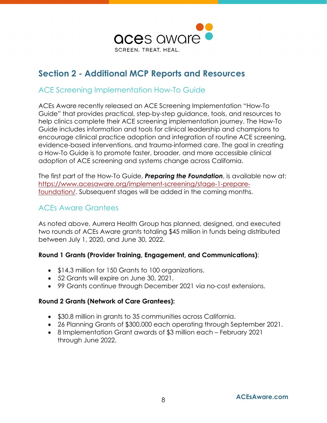

# <span id="page-8-0"></span>**Section 2 - Additional MCP Reports and Resources**

#### <span id="page-8-1"></span>ACE Screening Implementation How-To Guide

ACEs Aware recently released an ACE Screening Implementation "How-To Guide" that provides practical, step-by-step guidance, tools, and resources to help clinics complete their ACE screening implementation journey. The How-To Guide includes information and tools for clinical leadership and champions to encourage clinical practice adoption and integration of routine ACE screening, evidence-based interventions, and trauma-informed care. The goal in creating a How-To Guide is to promote faster, broader, and more accessible clinical adoption of ACE screening and systems change across California.

The first part of the How-To Guide, *Preparing the Foundation*, is available now at: [https://www.acesaware.org/implement-screening/stage-1-prepare](https://www.acesaware.org/implement-screening/stage-1-prepare-foundation/)[foundation/.](https://www.acesaware.org/implement-screening/stage-1-prepare-foundation/) Subsequent stages will be added in the coming months.

# <span id="page-8-2"></span>ACEs Aware Grantees

As noted above, Aurrera Health Group has planned, designed, and executed two rounds of ACEs Aware grants totaling \$45 million in funds being distributed between July 1, 2020, and June 30, 2022.

#### **Round 1 Grants (Provider Training, Engagement, and Communications)**:

- \$14.3 million for 150 Grants to 100 organizations.
- 52 Grants will expire on June 30, 2021.
- 99 Grants continue through December 2021 via no-cost extensions.

#### **Round 2 Grants (Network of Care Grantees):**

- \$30.8 million in grants to 35 communities across California.
- 26 Planning Grants of \$300,000 each operating through September 2021.
- 8 Implementation Grant awards of \$3 million each February 2021 through June 2022.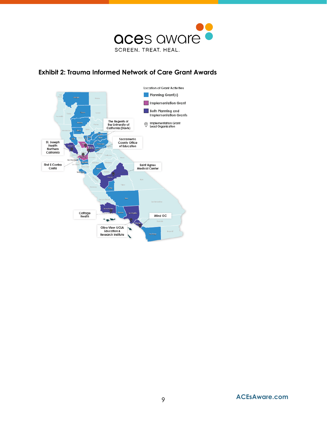

#### **Exhibit 2: Trauma Informed Network of Care Grant Awards**

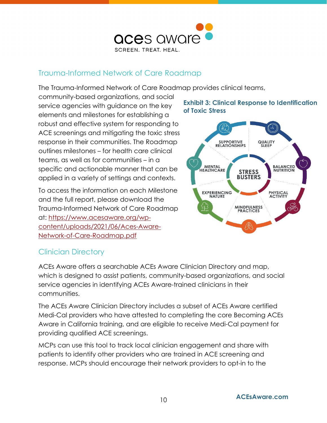

## <span id="page-10-0"></span>Trauma-Informed Network of Care Roadmap

The Trauma-Informed Network of Care Roadmap provides clinical teams,

community-based organizations, and social service agencies with guidance on the key elements and milestones for establishing a robust and effective system for responding to ACE screenings and mitigating the toxic stress response in their communities. The Roadmap outlines milestones – for health care clinical teams, as well as for communities – in a specific and actionable manner that can be applied in a variety of settings and contexts.

To access the information on each Milestone and the full report, please download the Trauma-Informed Network of Care Roadmap at: [https://www.acesaware.org/wp](https://www.acesaware.org/wp-content/uploads/2021/06/Aces-Aware-Network-of-Care-Roadmap.pdf)[content/uploads/2021/06/Aces-Aware-](https://www.acesaware.org/wp-content/uploads/2021/06/Aces-Aware-Network-of-Care-Roadmap.pdf)[Network-of-Care-Roadmap.pdf](https://www.acesaware.org/wp-content/uploads/2021/06/Aces-Aware-Network-of-Care-Roadmap.pdf)

#### **Exhibit 3: Clinical Response to Identification of Toxic Stress**



# <span id="page-10-1"></span>Clinician Directory

ACEs Aware offers a searchable ACEs Aware Clinician Directory and map, which is designed to assist patients, community-based organizations, and social service agencies in identifying ACEs Aware-trained clinicians in their communities.

The ACEs Aware Clinician Directory includes a subset of ACEs Aware certified Medi-Cal providers who have attested to completing the core Becoming ACEs Aware in California training, and are eligible to receive Medi-Cal payment for providing qualified ACE screenings.

MCPs can use this tool to track local clinician engagement and share with patients to identify other providers who are trained in ACE screening and response. MCPs should encourage their network providers to opt-in to the